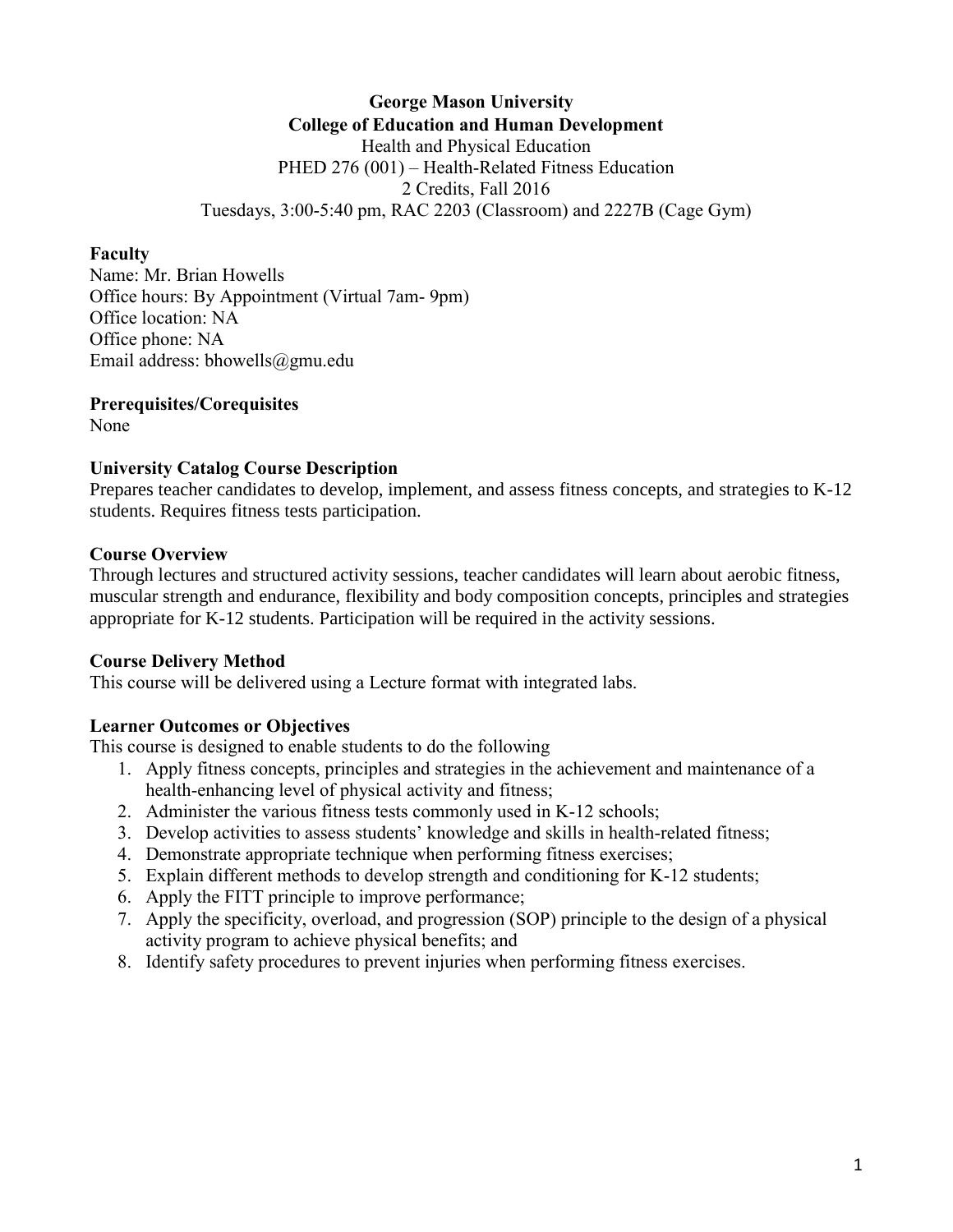**George Mason University College of Education and Human Development** Health and Physical Education PHED 276 (001) – Health-Related Fitness Education 2 Credits, Fall 2016 Tuesdays, 3:00-5:40 pm, RAC 2203 (Classroom) and 2227B (Cage Gym)

#### **Faculty**

Name: Mr. Brian Howells Office hours: By Appointment (Virtual 7am- 9pm) Office location: NA Office phone: NA Email address: bhowells@gmu.edu

## **Prerequisites/Corequisites**

None

## **University Catalog Course Description**

Prepares teacher candidates to develop, implement, and assess fitness concepts, and strategies to K-12 students. Requires fitness tests participation.

## **Course Overview**

Through lectures and structured activity sessions, teacher candidates will learn about aerobic fitness, muscular strength and endurance, flexibility and body composition concepts, principles and strategies appropriate for K-12 students. Participation will be required in the activity sessions.

## **Course Delivery Method**

This course will be delivered using a Lecture format with integrated labs.

## **Learner Outcomes or Objectives**

This course is designed to enable students to do the following

- 1. Apply fitness concepts, principles and strategies in the achievement and maintenance of a health-enhancing level of physical activity and fitness;
- 2. Administer the various fitness tests commonly used in K-12 schools;
- 3. Develop activities to assess students' knowledge and skills in health-related fitness;
- 4. Demonstrate appropriate technique when performing fitness exercises;
- 5. Explain different methods to develop strength and conditioning for K-12 students;
- 6. Apply the FITT principle to improve performance;
- 7. Apply the specificity, overload, and progression (SOP) principle to the design of a physical activity program to achieve physical benefits; and
- 8. Identify safety procedures to prevent injuries when performing fitness exercises.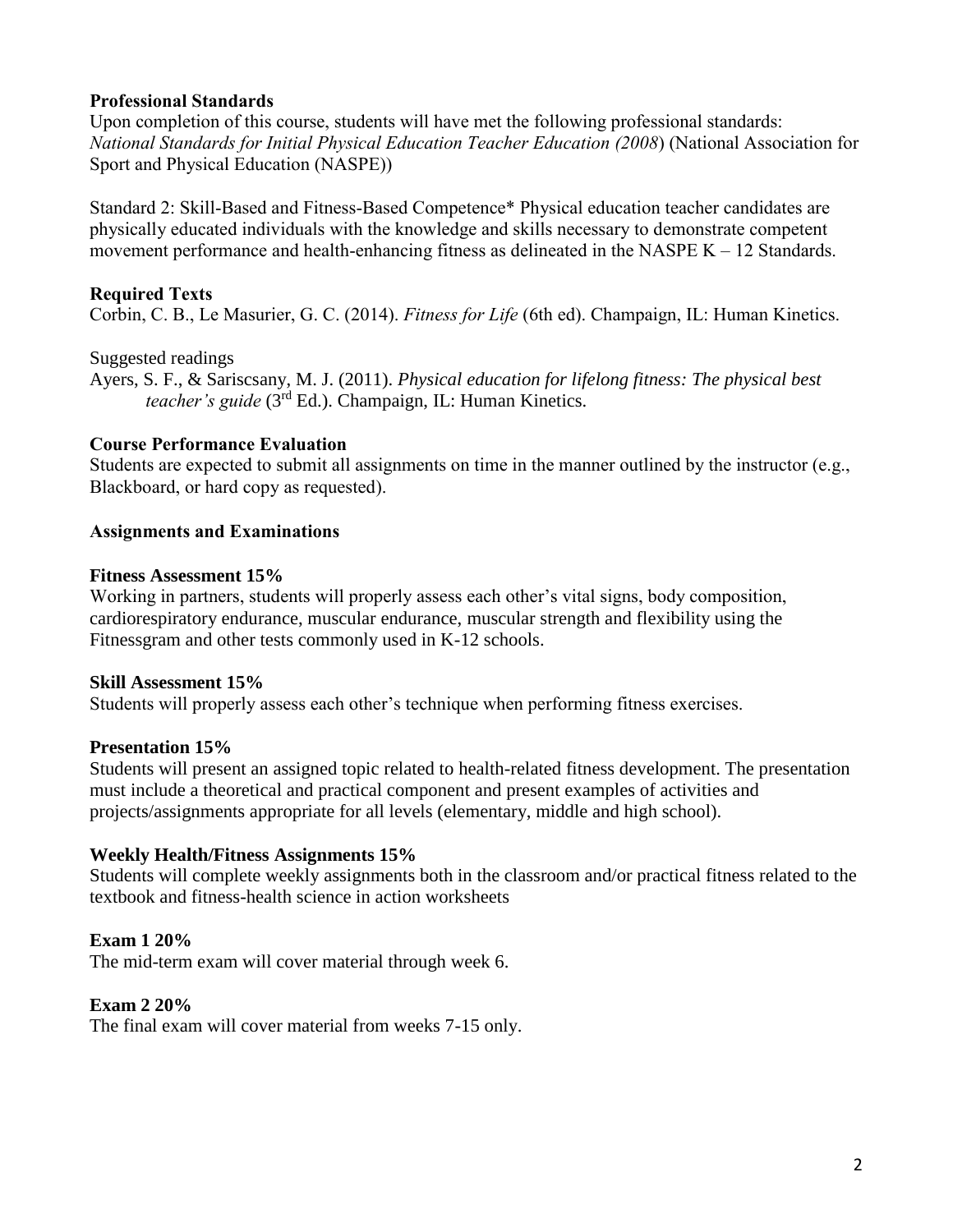## **Professional Standards**

Upon completion of this course, students will have met the following professional standards: *National Standards for Initial Physical Education Teacher Education (2008*) (National Association for Sport and Physical Education (NASPE))

Standard 2: Skill-Based and Fitness-Based Competence\* Physical education teacher candidates are physically educated individuals with the knowledge and skills necessary to demonstrate competent movement performance and health-enhancing fitness as delineated in the NASPE  $K - 12$  Standards.

# **Required Texts**

Corbin, C. B., Le Masurier, G. C. (2014). *Fitness for Life* (6th ed). Champaign, IL: Human Kinetics.

## Suggested readings

Ayers, S. F., & Sariscsany, M. J. (2011). *Physical education for lifelong fitness: The physical best teacher's guide* (3rd Ed.). Champaign, IL: Human Kinetics.

# **Course Performance Evaluation**

Students are expected to submit all assignments on time in the manner outlined by the instructor (e.g., Blackboard, or hard copy as requested).

# **Assignments and Examinations**

## **Fitness Assessment 15%**

Working in partners, students will properly assess each other's vital signs, body composition, cardiorespiratory endurance, muscular endurance, muscular strength and flexibility using the Fitnessgram and other tests commonly used in K-12 schools.

## **Skill Assessment 15%**

Students will properly assess each other's technique when performing fitness exercises.

## **Presentation 15%**

Students will present an assigned topic related to health-related fitness development. The presentation must include a theoretical and practical component and present examples of activities and projects/assignments appropriate for all levels (elementary, middle and high school).

## **Weekly Health/Fitness Assignments 15%**

Students will complete weekly assignments both in the classroom and/or practical fitness related to the textbook and fitness-health science in action worksheets

# **Exam 1 20%**

The mid-term exam will cover material through week 6.

## **Exam 2 20%**

The final exam will cover material from weeks 7-15 only.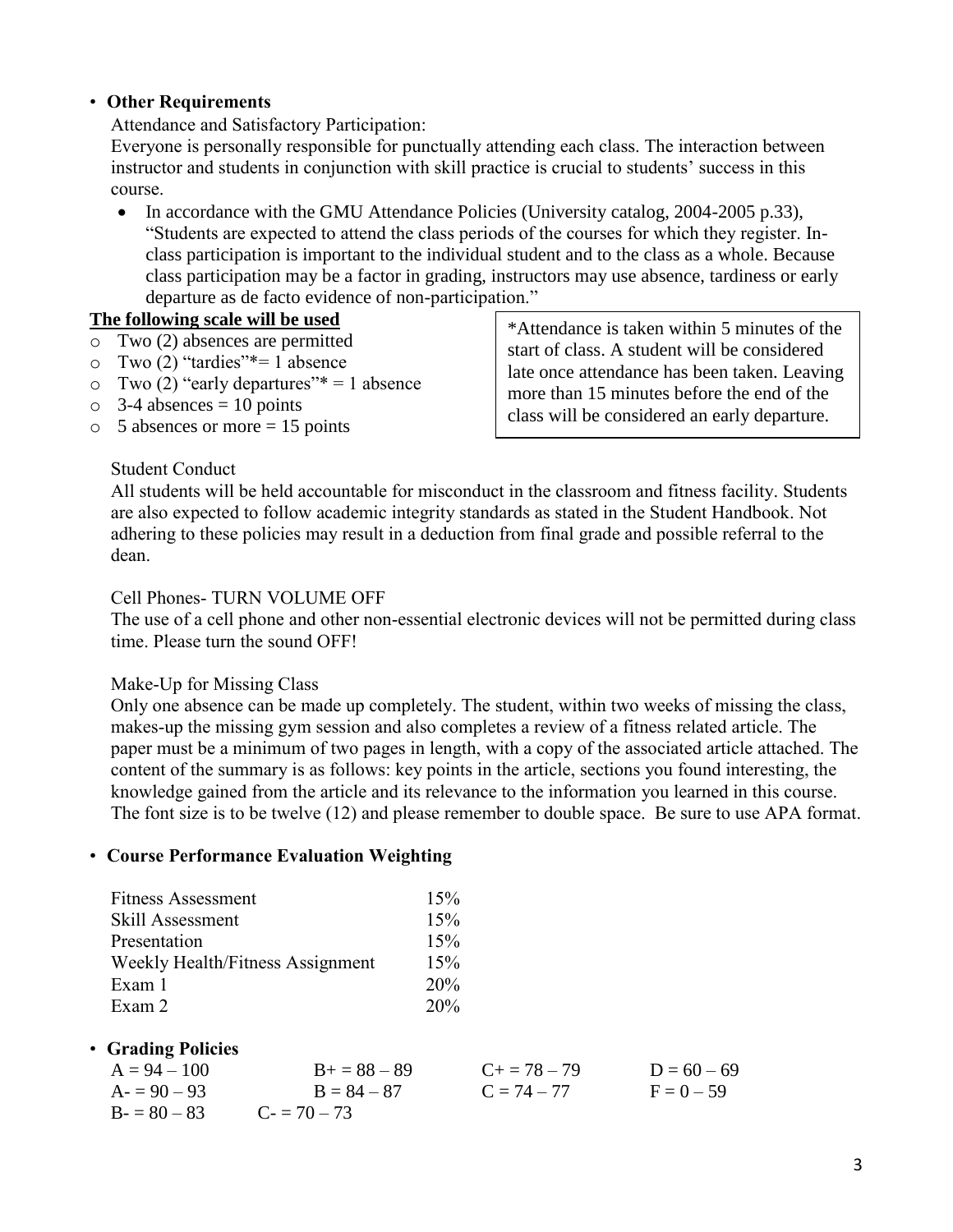## • **Other Requirements**

Attendance and Satisfactory Participation:

Everyone is personally responsible for punctually attending each class. The interaction between instructor and students in conjunction with skill practice is crucial to students' success in this course.

• In accordance with the GMU Attendance Policies (University catalog, 2004-2005 p.33), "Students are expected to attend the class periods of the courses for which they register. Inclass participation is important to the individual student and to the class as a whole. Because class participation may be a factor in grading, instructors may use absence, tardiness or early departure as de facto evidence of non-participation."

#### **The following scale will be used**

- o Two (2) absences are permitted
- $\circ$  Two (2) "tardies"\*= 1 absence
- $\circ$  Two (2) "early departures"\* = 1 absence
- $\circ$  3-4 absences = 10 points
- $\circ$  5 absences or more = 15 points

Student Conduct

\*Attendance is taken within 5 minutes of the start of class. A student will be considered late once attendance has been taken. Leaving more than 15 minutes before the end of the class will be considered an early departure.

All students will be held accountable for misconduct in the classroom and fitness facility. Students are also expected to follow academic integrity standards as stated in the Student Handbook. Not adhering to these policies may result in a deduction from final grade and possible referral to the dean.

#### Cell Phones- TURN VOLUME OFF

The use of a cell phone and other non-essential electronic devices will not be permitted during class time. Please turn the sound OFF!

#### Make-Up for Missing Class

Only one absence can be made up completely. The student, within two weeks of missing the class, makes-up the missing gym session and also completes a review of a fitness related article. The paper must be a minimum of two pages in length, with a copy of the associated article attached. The content of the summary is as follows: key points in the article, sections you found interesting, the knowledge gained from the article and its relevance to the information you learned in this course. The font size is to be twelve (12) and please remember to double space. Be sure to use APA format.

#### • **Course Performance Evaluation Weighting**

| <b>Fitness Assessment</b>        | 15% |
|----------------------------------|-----|
| Skill Assessment                 | 15% |
| Presentation                     | 15% |
| Weekly Health/Fitness Assignment | 15% |
| Exam 1                           | 20% |
| Exam 2                           | 20% |

## • **Grading Policies**

| $A = 94 - 100$ | $B_{+} = 88 - 89$ | $C_{\pm} = 78 - 79$ | $D = 60 - 69$ |
|----------------|-------------------|---------------------|---------------|
| $A = 90 - 93$  | $B = 84 - 87$     | $C = 74 - 77$       | $F = 0 - 59$  |
| $B = 80 - 83$  | $C = 70 - 73$     |                     |               |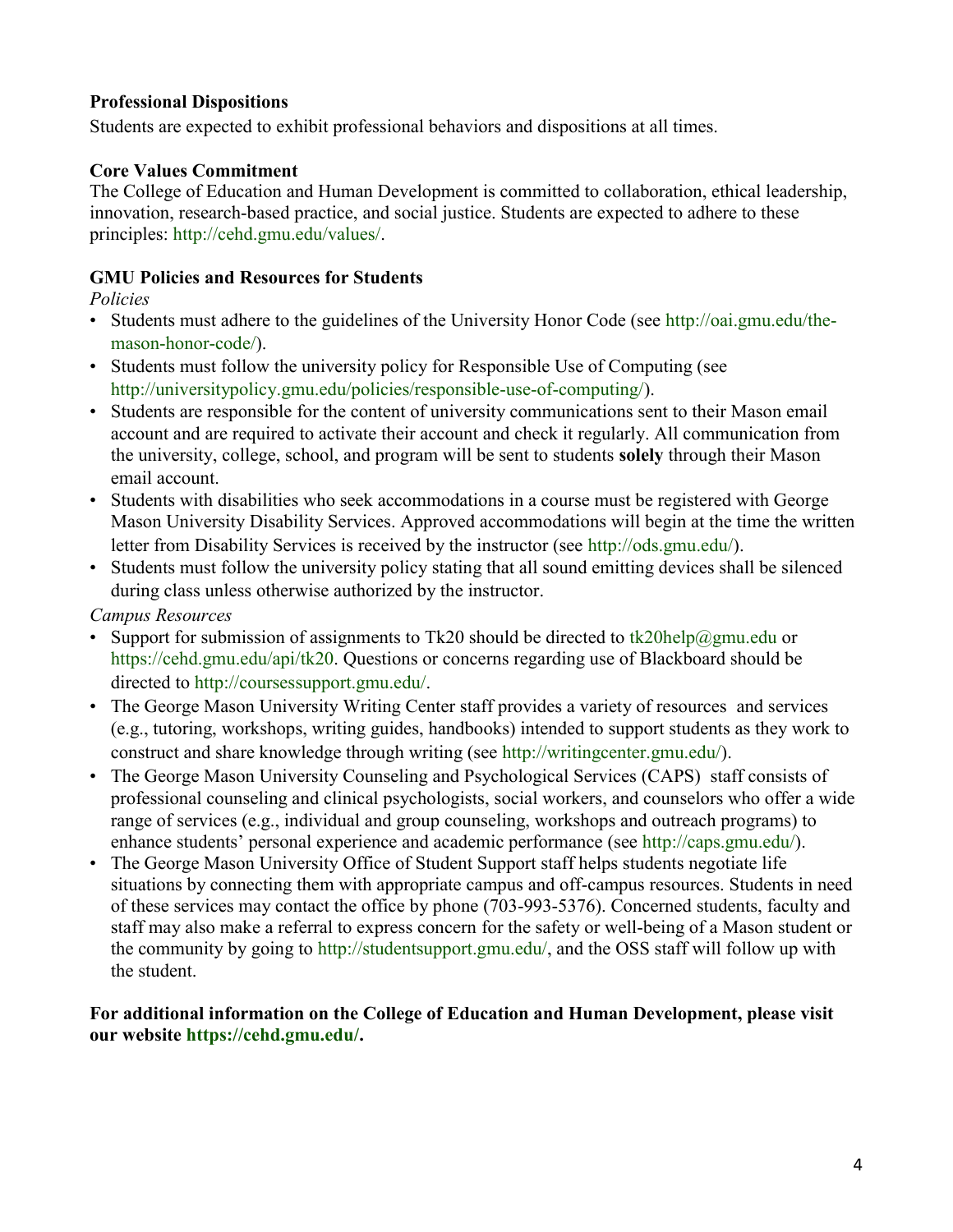# **Professional Dispositions**

Students are expected to exhibit professional behaviors and dispositions at all times.

## **Core Values Commitment**

The College of Education and Human Development is committed to collaboration, ethical leadership, innovation, research-based practice, and social justice. Students are expected to adhere to these principles: http://cehd.gmu.edu/values/.

## **GMU Policies and Resources for Students**

*Policies* 

- Students must adhere to the guidelines of the University Honor Code (see http://oai.gmu.edu/themason-honor-code/).
- Students must follow the university policy for Responsible Use of Computing (see http://universitypolicy.gmu.edu/policies/responsible-use-of-computing/).
- Students are responsible for the content of university communications sent to their Mason email account and are required to activate their account and check it regularly. All communication from the university, college, school, and program will be sent to students **solely** through their Mason email account.
- Students with disabilities who seek accommodations in a course must be registered with George Mason University Disability Services. Approved accommodations will begin at the time the written letter from Disability Services is received by the instructor (see http://ods.gmu.edu/).
- Students must follow the university policy stating that all sound emitting devices shall be silenced during class unless otherwise authorized by the instructor.

*Campus Resources* 

- Support for submission of assignments to Tk20 should be directed to tk20help@gmu.edu or https://cehd.gmu.edu/api/tk20. Questions or concerns regarding use of Blackboard should be directed to http://coursessupport.gmu.edu/.
- The George Mason University Writing Center staff provides a variety of resources and services (e.g., tutoring, workshops, writing guides, handbooks) intended to support students as they work to construct and share knowledge through writing (see http://writingcenter.gmu.edu/).
- The George Mason University Counseling and Psychological Services (CAPS) staff consists of professional counseling and clinical psychologists, social workers, and counselors who offer a wide range of services (e.g., individual and group counseling, workshops and outreach programs) to enhance students' personal experience and academic performance (see http://caps.gmu.edu/).
- The George Mason University Office of Student Support staff helps students negotiate life situations by connecting them with appropriate campus and off-campus resources. Students in need of these services may contact the office by phone (703-993-5376). Concerned students, faculty and staff may also make a referral to express concern for the safety or well-being of a Mason student or the community by going to http://studentsupport.gmu.edu/, and the OSS staff will follow up with the student.

## **For additional information on the College of Education and Human Development, please visit our website https://cehd.gmu.edu/.**